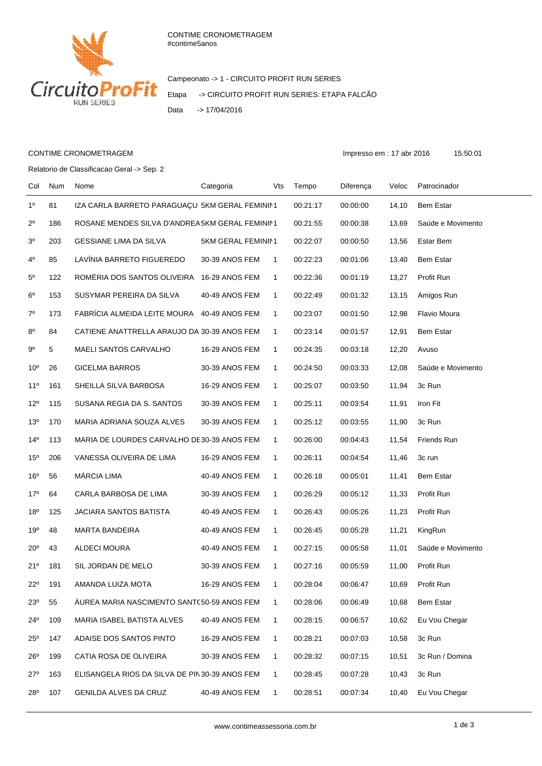

Campeonato -> 1 - CIRCUITO PROFIT RUN SERIES Etapa -> CIRCUITO PROFIT RUN SERIES: ETAPA FALCÃO Data -> 17/04/2016

## CONTIME CRONOMETRAGEM **Impresso em : 17 abr 2016** 15:50:01

Relatorio de Classificacao Geral -> Sep. 2

Col Num Nome Categoria Vts Tempo Diferença Veloc Patrocinador 1º 81 IZA CARLA BARRETO PARAGUAÇU 5KM GERAL FEMININ1 00:21:17 00:00:00 14,10 Bem Estar 2º 186 ROSANE MENDES SILVA D'ANDREA 5KM GERAL FEMININ1 00:21:55 00:00:38 13,69 Saúde e Movimento 3º 203 GESSIANE LIMA DA SILVA 5KM GERAL FEMININ1 00:22:07 00:00:50 13,56 Estar Bem 4º 85 LAVÍNIA BARRETO FIGUEREDO 30-39 ANOS FEM 1 00:22:23 00:01:06 13,40 Bem Estar 5º 122 ROMÉRIA DOS SANTOS OLIVEIRA 16-29 ANOS FEM 1 00:22:36 00:01:19 13,27 Profit Run 6º 153 SUSYMAR PEREIRA DA SILVA 40-49 ANOS FEM 1 00:22:49 00:01:32 13,15 Amigos Run 7º 173 FABRÍCIA ALMEIDA LEITE MOURA 40-49 ANOS FEM 1 00:23:07 00:01:50 12,98 Flavio Moura 8º 84 CATIENE ANATTRELLA ARAUJO DA 30-39 ANOS FEM 1 00:23:14 00:01:57 12,91 Bem Estar 9º 5 MAELI SANTOS CARVALHO 16-29 ANOS FEM 1 00:24:35 00:03:18 12,20 Avuso 10º 26 GICELMA BARROS 30-39 ANOS FEM 1 00:24:50 00:03:33 12,08 Saúde e Movimento 11º 161 SHEILLA SILVA BARBOSA 16-29 ANOS FEM 1 00:25:07 00:03:50 11,94 3c Run 12º 115 SUSANA REGIA DA S. SANTOS 30-39 ANOS FEM 1 00:25:11 00:03:54 11,91 Iron Fit 13º 170 MARIA ADRIANA SOUZA ALVES 30-39 ANOS FEM 1 00:25:12 00:03:55 11,90 3c Run 14º 113 MARIA DE LOURDES CARVALHO DE30-39 ANOS FEM 1 00:26:00 00:04:43 11,54 Friends Run 15º 206 VANESSA OLIVEIRA DE LIMA 16-29 ANOS FEM 1 00:26:11 00:04:54 11,46 3c run 16º 56 MÁRCIA LIMA 40-49 ANOS FEM 1 00:26:18 00:05:01 11,41 Bem Estar 17º 64 CARLA BARBOSA DE LIMA 30-39 ANOS FEM 1 00:26:29 00:05:12 11,33 Profit Run 18º 125 JACIARA SANTOS BATISTA 40-49 ANOS FEM 1 00:26:43 00:05:26 11,23 Profit Run 19º 48 MARTA BANDEIRA 40-49 ANOS FEM 1 00:26:45 00:05:28 11,21 KingRun 20º 43 ALDECI MOURA 40-49 ANOS FEM 1 00:27:15 00:05:58 11,01 Saúde e Movimento 21º 181 SIL JORDAN DE MELO 30-39 ANOS FEM 1 00:27:16 00:05:59 11,00 Profit Run 22º 191 AMANDA LUIZA MOTA 16-29 ANOS FEM 1 00:28:04 00:06:47 10,69 Profit Run 23º 55 ÁUREA MARIA NASCIMENTO SANT(50-59 ANOS FEM 1 00:28:06 00:06:49 10,68 Bem Estar 24º 109 MARIA ISABEL BATISTA ALVES 40-49 ANOS FEM 1 00:28:15 00:06:57 10,62 Eu Vou Chegar 25º 147 ADAISE DOS SANTOS PINTO 16-29 ANOS FEM 1 00:28:21 00:07:03 10,58 3c Run 26º 199 CATIA ROSA DE OLIVEIRA 30-39 ANOS FEM 1 00:28:32 00:07:15 10,51 3c Run / Domina 27º 163 ELISANGELA RIOS DA SILVA DE PIN30-39 ANOS FEM 1 00:28:45 00:07:28 10.43 3c Run 28º 107 GENILDA ALVES DA CRUZ 40-49 ANOS FEM 1 00:28:51 00:07:34 10,40 Eu Vou Chegar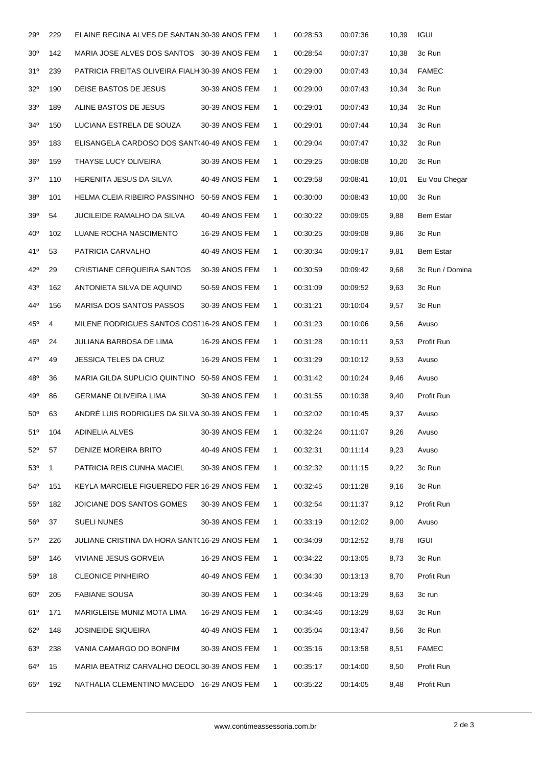| 29°             | 229          | ELAINE REGINA ALVES DE SANTAN 30-39 ANOS FEM   |                | 1            | 00:28:53 | 00:07:36 | 10,39 | <b>IGUI</b>      |
|-----------------|--------------|------------------------------------------------|----------------|--------------|----------|----------|-------|------------------|
| $30^{\circ}$    | 142          | MARIA JOSE ALVES DOS SANTOS 30-39 ANOS FEM     |                | 1            | 00:28:54 | 00:07:37 | 10,38 | 3c Run           |
| 31°             | 239          | PATRICIA FREITAS OLIVEIRA FIALH 30-39 ANOS FEM |                | 1            | 00:29:00 | 00:07:43 | 10,34 | <b>FAMEC</b>     |
| 32°             | 190          | DEISE BASTOS DE JESUS                          | 30-39 ANOS FEM | $\mathbf{1}$ | 00:29:00 | 00:07:43 | 10,34 | 3c Run           |
| 33 <sup>o</sup> | 189          | ALINE BASTOS DE JESUS                          | 30-39 ANOS FEM | 1            | 00:29:01 | 00:07:43 | 10,34 | 3c Run           |
| 34 <sup>°</sup> | 150          | LUCIANA ESTRELA DE SOUZA                       | 30-39 ANOS FEM | $\mathbf{1}$ | 00:29:01 | 00:07:44 | 10,34 | 3c Run           |
| 35°             | 183          | ELISANGELA CARDOSO DOS SANT(40-49 ANOS FEM     |                | $\mathbf{1}$ | 00:29:04 | 00:07:47 | 10,32 | 3c Run           |
| 36°             | 159          | THAYSE LUCY OLIVEIRA                           | 30-39 ANOS FEM | 1            | 00:29:25 | 00:08:08 | 10,20 | 3c Run           |
| $37^\circ$      | 110          | HERENITA JESUS DA SILVA                        | 40-49 ANOS FEM | $\mathbf{1}$ | 00:29:58 | 00:08:41 | 10,01 | Eu Vou Chegar    |
| $38^{\circ}$    | 101          | HELMA CLEIA RIBEIRO PASSINHO 50-59 ANOS FEM    |                | $\mathbf{1}$ | 00:30:00 | 00:08:43 | 10,00 | 3c Run           |
| 39°             | 54           | <b>JUCILEIDE RAMALHO DA SILVA</b>              | 40-49 ANOS FEM | $\mathbf{1}$ | 00:30:22 | 00:09:05 | 9,88  | <b>Bem Estar</b> |
| $40^{\circ}$    | 102          | LUANE ROCHA NASCIMENTO                         | 16-29 ANOS FEM | 1            | 00:30:25 | 00:09:08 | 9,86  | 3c Run           |
| 41°             | 53           | PATRICIA CARVALHO                              | 40-49 ANOS FEM | $\mathbf{1}$ | 00:30:34 | 00:09:17 | 9,81  | Bem Estar        |
| 42°             | 29           | <b>CRISTIANE CERQUEIRA SANTOS</b>              | 30-39 ANOS FEM | $\mathbf{1}$ | 00:30:59 | 00:09:42 | 9,68  | 3c Run / Domina  |
| 43°             | 162          | ANTONIETA SILVA DE AQUINO                      | 50-59 ANOS FEM | 1            | 00:31:09 | 00:09:52 | 9,63  | 3c Run           |
| 44°             | 156          | <b>MARISA DOS SANTOS PASSOS</b>                | 30-39 ANOS FEM | 1            | 00:31:21 | 00:10:04 | 9,57  | 3c Run           |
| $45^{\circ}$    | 4            | MILENE RODRIGUES SANTOS COS116-29 ANOS FEM     |                | $\mathbf{1}$ | 00:31:23 | 00:10:06 | 9,56  | Avuso            |
| 46°             | 24           | JULIANA BARBOSA DE LIMA                        | 16-29 ANOS FEM | 1            | 00:31:28 | 00:10:11 | 9,53  | Profit Run       |
| 47°             | 49           | <b>JESSICA TELES DA CRUZ</b>                   | 16-29 ANOS FEM | $\mathbf{1}$ | 00:31:29 | 00:10:12 | 9,53  | Avuso            |
| 48°             | 36           | MARIA GILDA SUPLICIO QUINTINO 50-59 ANOS FEM   |                | $\mathbf{1}$ | 00:31:42 | 00:10:24 | 9,46  | Avuso            |
| 49°             | 86           | <b>GERMANE OLIVEIRA LIMA</b>                   | 30-39 ANOS FEM | $\mathbf{1}$ | 00:31:55 | 00:10:38 | 9,40  | Profit Run       |
| $50^\circ$      | 63           | ANDRÉ LUIS RODRIGUES DA SILVA 30-39 ANOS FEM   |                | 1            | 00:32:02 | 00:10:45 | 9,37  | Avuso            |
| 51°             | 104          | ADINELIA ALVES                                 | 30-39 ANOS FEM | $\mathbf{1}$ | 00:32:24 | 00:11:07 | 9,26  | Avuso            |
| $52^{\circ}$    | 57           | DENIZE MOREIRA BRITO                           | 40-49 ANOS FEM | $\mathbf 1$  | 00:32:31 | 00:11:14 | 9,23  | Avuso            |
| 53 <sup>o</sup> | $\mathbf{1}$ | PATRICIA REIS CUNHA MACIEL                     | 30-39 ANOS FEM | 1            | 00:32:32 | 00:11:15 | 9,22  | 3c Run           |
| $54^{\circ}$    | 151          | KEYLA MARCIELE FIGUEREDO FER 16-29 ANOS FEM    |                | $\mathbf{1}$ | 00:32:45 | 00:11:28 | 9,16  | 3c Run           |
| $55^{\circ}$    | 182          | JOICIANE DOS SANTOS GOMES                      | 30-39 ANOS FEM | $\mathbf 1$  | 00:32:54 | 00:11:37 | 9,12  | Profit Run       |
| $56^{\circ}$    | 37           | <b>SUELI NUNES</b>                             | 30-39 ANOS FEM | 1            | 00:33:19 | 00:12:02 | 9,00  | Avuso            |
| $57^\circ$      | 226          | JULIANE CRISTINA DA HORA SANT(16-29 ANOS FEM   |                | 1            | 00:34:09 | 00:12:52 | 8,78  | <b>IGUI</b>      |
| $58^\circ$      | 146          | VIVIANE JESUS GORVEIA                          | 16-29 ANOS FEM | $\mathbf 1$  | 00:34:22 | 00:13:05 | 8,73  | 3c Run           |
| $59^\circ$      | 18           | <b>CLEONICE PINHEIRO</b>                       | 40-49 ANOS FEM | 1            | 00:34:30 | 00:13:13 | 8,70  | Profit Run       |
| $60^\circ$      | 205          | <b>FABIANE SOUSA</b>                           | 30-39 ANOS FEM | $\mathbf 1$  | 00:34:46 | 00:13:29 | 8,63  | 3c run           |
| 61°             | 171          | MARIGLEISE MUNIZ MOTA LIMA                     | 16-29 ANOS FEM | $\mathbf{1}$ | 00:34:46 | 00:13:29 | 8,63  | 3c Run           |
| $62^{\circ}$    | 148          | <b>JOSINEIDE SIQUEIRA</b>                      | 40-49 ANOS FEM | 1            | 00:35:04 | 00:13:47 | 8,56  | 3c Run           |
| $63^\circ$      | 238          | VANIA CAMARGO DO BONFIM                        | 30-39 ANOS FEM | $\mathbf{1}$ | 00:35:16 | 00:13:58 | 8,51  | <b>FAMEC</b>     |
| $64^{\circ}$    | 15           | MARIA BEATRIZ CARVALHO DEOCL 30-39 ANOS FEM    |                | $\mathbf 1$  | 00:35:17 | 00:14:00 | 8,50  | Profit Run       |
| $65^{\circ}$    | 192          | NATHALIA CLEMENTINO MACEDO 16-29 ANOS FEM      |                | $\mathbf{1}$ | 00:35:22 | 00:14:05 | 8,48  | Profit Run       |
|                 |              |                                                |                |              |          |          |       |                  |